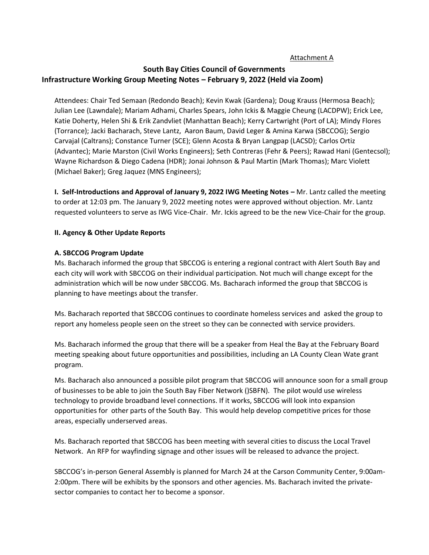# Attachment A

# **South Bay Cities Council of Governments Infrastructure Working Group Meeting Notes – February 9, 2022 (Held via Zoom)**

Attendees: Chair Ted Semaan (Redondo Beach); Kevin Kwak (Gardena); Doug Krauss (Hermosa Beach); Julian Lee (Lawndale); Mariam Adhami, Charles Spears, John Ickis & Maggie Cheung (LACDPW); Erick Lee, Katie Doherty, Helen Shi & Erik Zandvliet (Manhattan Beach); Kerry Cartwright (Port of LA); Mindy Flores (Torrance); Jacki Bacharach, Steve Lantz, Aaron Baum, David Leger & Amina Karwa (SBCCOG); Sergio Carvajal (Caltrans); Constance Turner (SCE); Glenn Acosta & Bryan Langpap (LACSD); Carlos Ortiz (Advantec); Marie Marston (Civil Works Engineers); Seth Contreras (Fehr & Peers); Rawad Hani (Gentecsol); Wayne Richardson & Diego Cadena (HDR); Jonai Johnson & Paul Martin (Mark Thomas); Marc Violett (Michael Baker); Greg Jaquez (MNS Engineers);

**I. Self-Introductions and Approval of January 9, 2022 IWG Meeting Notes – Mr. Lantz called the meeting** to order at 12:03 pm. The January 9, 2022 meeting notes were approved without objection. Mr. Lantz requested volunteers to serve as IWG Vice-Chair. Mr. Ickis agreed to be the new Vice-Chair for the group.

#### **II. Agency & Other Update Reports**

#### **A. SBCCOG Program Update**

Ms. Bacharach informed the group that SBCCOG is entering a regional contract with Alert South Bay and each city will work with SBCCOG on their individual participation. Not much will change except for the administration which will be now under SBCCOG. Ms. Bacharach informed the group that SBCCOG is planning to have meetings about the transfer.

Ms. Bacharach reported that SBCCOG continues to coordinate homeless services and asked the group to report any homeless people seen on the street so they can be connected with service providers.

Ms. Bacharach informed the group that there will be a speaker from Heal the Bay at the February Board meeting speaking about future opportunities and possibilities, including an LA County Clean Wate grant program.

Ms. Bacharach also announced a possible pilot program that SBCCOG will announce soon for a small group of businesses to be able to join the South Bay Fiber Network ()SBFN). The pilot would use wireless technology to provide broadband level connections. If it works, SBCCOG will look into expansion opportunities for other parts of the South Bay. This would help develop competitive prices for those areas, especially underserved areas.

Ms. Bacharach reported that SBCCOG has been meeting with several cities to discuss the Local Travel Network. An RFP for wayfinding signage and other issues will be released to advance the project.

SBCCOG's in-person General Assembly is planned for March 24 at the Carson Community Center, 9:00am-2:00pm. There will be exhibits by the sponsors and other agencies. Ms. Bacharach invited the privatesector companies to contact her to become a sponsor.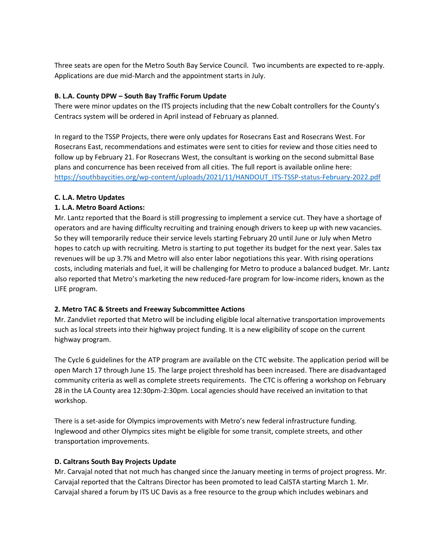Three seats are open for the Metro South Bay Service Council. Two incumbents are expected to re-apply. Applications are due mid-March and the appointment starts in July.

### **B. L.A. County DPW – South Bay Traffic Forum Update**

There were minor updates on the ITS projects including that the new Cobalt controllers for the County's Centracs system will be ordered in April instead of February as planned.

In regard to the TSSP Projects, there were only updates for Rosecrans East and Rosecrans West. For Rosecrans East, recommendations and estimates were sent to cities for review and those cities need to follow up by February 21. For Rosecrans West, the consultant is working on the second submittal Base plans and concurrence has been received from all cities. The full report is available online here: [https://southbaycities.org/wp-content/uploads/2021/11/HANDOUT\\_ITS-TSSP-status-February-2022.pdf](https://southbaycities.org/wp-content/uploads/2021/11/HANDOUT_ITS-TSSP-status-February-2022.pdf)

# **C. L.A. Metro Updates**

# **1. L.A. Metro Board Actions:**

Mr. Lantz reported that the Board is still progressing to implement a service cut. They have a shortage of operators and are having difficulty recruiting and training enough drivers to keep up with new vacancies. So they will temporarily reduce their service levels starting February 20 until June or July when Metro hopes to catch up with recruiting. Metro is starting to put together its budget for the next year. Sales tax revenues will be up 3.7% and Metro will also enter labor negotiations this year. With rising operations costs, including materials and fuel, it will be challenging for Metro to produce a balanced budget. Mr. Lantz also reported that Metro's marketing the new reduced-fare program for low-income riders, known as the LIFE program.

#### **2. Metro TAC & Streets and Freeway Subcommittee Actions**

Mr. Zandvliet reported that Metro will be including eligible local alternative transportation improvements such as local streets into their highway project funding. It is a new eligibility of scope on the current highway program.

The Cycle 6 guidelines for the ATP program are available on the CTC website. The application period will be open March 17 through June 15. The large project threshold has been increased. There are disadvantaged community criteria as well as complete streets requirements. The CTC is offering a workshop on February 28 in the LA County area 12:30pm-2:30pm. Local agencies should have received an invitation to that workshop.

There is a set-aside for Olympics improvements with Metro's new federal infrastructure funding. Inglewood and other Olympics sites might be eligible for some transit, complete streets, and other transportation improvements.

# **D. Caltrans South Bay Projects Update**

Mr. Carvajal noted that not much has changed since the January meeting in terms of project progress. Mr. Carvajal reported that the Caltrans Director has been promoted to lead CalSTA starting March 1. Mr. Carvajal shared a forum by ITS UC Davis as a free resource to the group which includes webinars and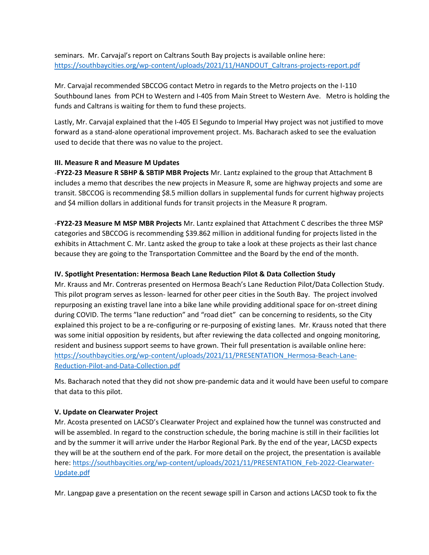seminars. Mr. Carvajal's report on Caltrans South Bay projects is available online here: [https://southbaycities.org/wp-content/uploads/2021/11/HANDOUT\\_Caltrans-projects-report.pdf](https://southbaycities.org/wp-content/uploads/2021/11/HANDOUT_Caltrans-projects-report.pdf)

Mr. Carvajal recommended SBCCOG contact Metro in regards to the Metro projects on the I-110 Southbound lanes from PCH to Western and I-405 from Main Street to Western Ave. Metro is holding the funds and Caltrans is waiting for them to fund these projects.

Lastly, Mr. Carvajal explained that the I-405 El Segundo to Imperial Hwy project was not justified to move forward as a stand-alone operational improvement project. Ms. Bacharach asked to see the evaluation used to decide that there was no value to the project.

#### **III. Measure R and Measure M Updates**

-**FY22-23 Measure R SBHP & SBTIP MBR Projects** Mr. Lantz explained to the group that Attachment B includes a memo that describes the new projects in Measure R, some are highway projects and some are transit. SBCCOG is recommending \$8.5 million dollars in supplemental funds for current highway projects and \$4 million dollars in additional funds for transit projects in the Measure R program.

-**FY22-23 Measure M MSP MBR Projects** Mr. Lantz explained that Attachment C describes the three MSP categories and SBCCOG is recommending \$39.862 million in additional funding for projects listed in the exhibits in Attachment C. Mr. Lantz asked the group to take a look at these projects as their last chance because they are going to the Transportation Committee and the Board by the end of the month.

#### **IV. Spotlight Presentation: Hermosa Beach Lane Reduction Pilot & Data Collection Study**

Mr. Krauss and Mr. Contreras presented on Hermosa Beach's Lane Reduction Pilot/Data Collection Study. This pilot program serves as lesson- learned for other peer cities in the South Bay. The project involved repurposing an existing travel lane into a bike lane while providing additional space for on-street dining during COVID. The terms "lane reduction" and "road diet" can be concerning to residents, so the City explained this project to be a re-configuring or re-purposing of existing lanes. Mr. Krauss noted that there was some initial opposition by residents, but after reviewing the data collected and ongoing monitoring, resident and business support seems to have grown. Their full presentation is available online here: [https://southbaycities.org/wp-content/uploads/2021/11/PRESENTATION\\_Hermosa-Beach-Lane-](https://southbaycities.org/wp-content/uploads/2021/11/PRESENTATION_Hermosa-Beach-Lane-Reduction-Pilot-and-Data-Collection.pdf)[Reduction-Pilot-and-Data-Collection.pdf](https://southbaycities.org/wp-content/uploads/2021/11/PRESENTATION_Hermosa-Beach-Lane-Reduction-Pilot-and-Data-Collection.pdf)

Ms. Bacharach noted that they did not show pre-pandemic data and it would have been useful to compare that data to this pilot.

#### **V. Update on Clearwater Project**

Mr. Acosta presented on LACSD's Clearwater Project and explained how the tunnel was constructed and will be assembled. In regard to the construction schedule, the boring machine is still in their facilities lot and by the summer it will arrive under the Harbor Regional Park. By the end of the year, LACSD expects they will be at the southern end of the park. For more detail on the project, the presentation is available here[: https://southbaycities.org/wp-content/uploads/2021/11/PRESENTATION\\_Feb-2022-Clearwater-](https://southbaycities.org/wp-content/uploads/2021/11/PRESENTATION_Feb-2022-Clearwater-Update.pdf)[Update.pdf](https://southbaycities.org/wp-content/uploads/2021/11/PRESENTATION_Feb-2022-Clearwater-Update.pdf)

Mr. Langpap gave a presentation on the recent sewage spill in Carson and actions LACSD took to fix the